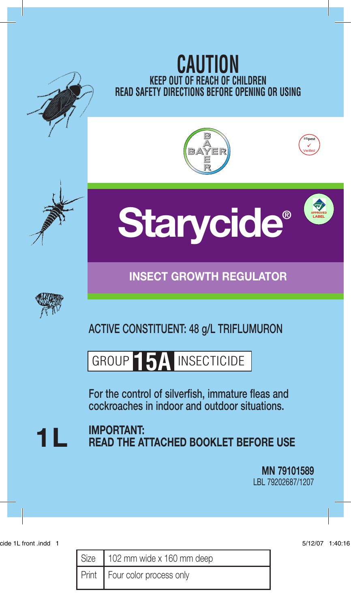

| Size   102 mm wide x 160 mm deep |
|----------------------------------|
| Print Four color process only    |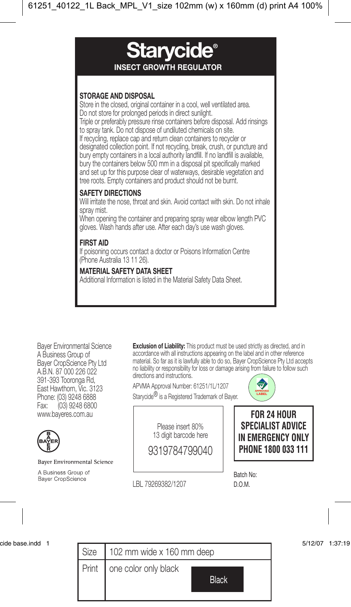

Bayer Environmental Science A Business Group of Bayer CropScience Pty Ltd A.B.N. 87 000 226 022 391-393 Tooronga Rd, East Hawthorn, Vic. 3123 Phone: (03) 9248 6888 Fax: (03) 9248 6800 www.bayeres.com.au

**Baver Environmental Science** 

A Business Group of Bayer CropScience

**Exclusion of Liability:** This product must be used strictly as directed, and in accordance with all instructions appearing on the label and in other reference material. So far as it is lawfully able to do so, Bayer CropScience Pty Ltd accepts no liability or responsibility for loss or damage arising from failure to follow such directions and instructions

APVMA Approval Number: 61251/1L/1207





Please insert 80% 13 digit barcode here

9319784799040

LBL 79269382/1207 D.O.M.

**FOR 24 HOUR SPECIALIST ADVICE IN EMERGENCY ONLY PHONE 1800 033 111**

Batch No:

| cide base.indd |       |                                      | 5/12/07 | 1:37:19 |
|----------------|-------|--------------------------------------|---------|---------|
|                | Size  | 102 mm wide x 160 mm deep            |         |         |
|                | Print | one color only black<br><b>Black</b> |         |         |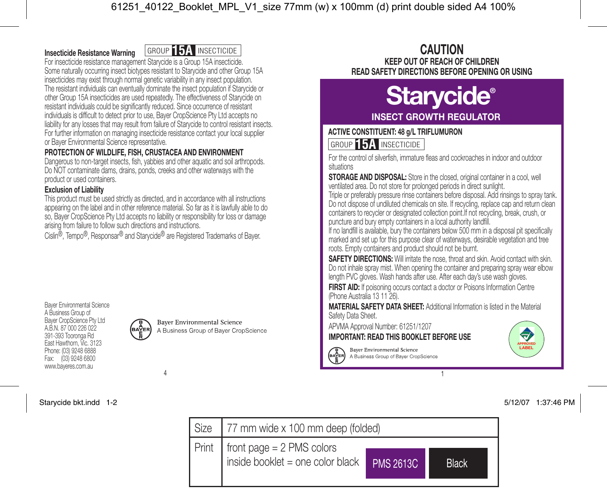# **Insecticide Resistance Warning**

**GROUP 15A INSECTICIDE** 

For insecticide resistance management Starycide is a Group 15A insecticide. Some naturally occurring insect biotypes resistant to Starycide and other Group 15A insecticides may exist through normal genetic variability in any insect population. The resistant individuals can eventually dominate the insect population if Starycide or other Group 15A insecticides are used repeatedly. The effectiveness of Starycide on resistant individuals could be significantly reduced. Since occurrence of resistant individuals is difficult to detect prior to use, Bayer CropScience Pty Ltd accepts no liability for any losses that may result from failure of Starycide to control resistant insects. For further information on managing insecticide resistance contact your local supplier or Bayer Environmental Science representative

# **PROTECTION OF WILDLIFE, FISH, CRUSTACEA AND ENVIRONMENT**

Dangerous to non-target insects, fish, yabbies and other aquatic and soil arthropods. Do NOT contaminate dams, drains, ponds, creeks and other waterways with the product or used containers.

# **Exclusion of Liability**

This product must be used strictly as directed, and in accordance with all instructions appearing on the label and in other reference material. So far as it is lawfully able to do so, Bayer CropScience Pty Ltd accepts no liability or responsibility for loss or damage arising from failure to follow such directions and instructions.

Cislin<sup>®</sup>, Tempo<sup>®</sup>, Responsar<sup>®</sup> and Starycide<sup>®</sup> are Registered Trademarks of Bayer.

Bayer Environmental Science A Business Group of Bayer CropScience Pty Ltd A.B.N. 87 000 226 022 391-393 Tooronga Rd East Hawthorn, Vic. 3123 Phone: (03) 9248 6888 Fax: (03) 9248 6800 www.bayeres.com.au



**Bayer Environmental Science** A Business Group of Bayer CropScience

# **CAUTION KEEP OUT OF REACH OF CHILDREN READ SAFETY DIRECTIONS BEFORE OPENING OR USING**

# **Starycide®**

# **INSECT GROWTH REGULATOR**

## **ACTIVE CONSTITUENT: 48 g/L TRIFLUMURON**

GROUP **15A** INSECTICIDE

For the control of silverfish, immature fleas and cockroaches in indoor and outdoor situations

**STORAGE AND DISPOSAL:** Store in the closed, original container in a cool, well ventilated area. Do not store for prolonged periods in direct sunlight.

Triple or preferably pressure rinse containers before disposal. Add rinsings to spray tank. Do not dispose of undiluted chemicals on site. If recycling, replace cap and return clean containers to recycler or designated collection point.If not recycling, break, crush, or puncture and bury empty containers in a local authority landfill.

If no landfill is available, bury the containers below 500 mm in a disposal pit specifically marked and set up for this purpose clear of waterways, desirable vegetation and tree roots. Empty containers and product should not be burnt.

**SAFETY DIRECTIONS:** Will irritate the nose, throat and skin. Avoid contact with skin. Do not inhale spray mist. When opening the container and preparing spray wear elbow length PVC gloves. Wash hands after use. After each day's use wash gloves.

**FIRST AID:** If poisoning occurs contact a doctor or Poisons Information Centre (Phone Australia 13 11 26).

**MATERIAL SAFETY DATA SHEET:** Additional Information is listed in the Material Safety Data Sheet.

APVMA Approval Number: 61251/1207

**IMPORTANT: READ THIS BOOKLET BEFORE USE**



4 a contract to the contract of the contract of the contract of the contract of the contract of the contract of the contract of the contract of the contract of the contract of the contract of the contract of the contract o

**Baver Environmental Science** A Business Group of Bayer CropScience



Starycide bkt.indd 1-2 5/12/07 1:37:46 PM